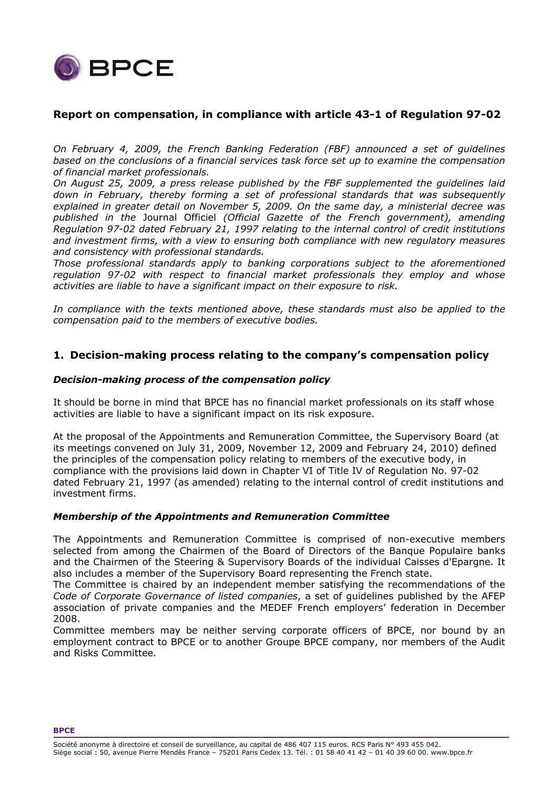

# **Report on compensation, in compliance with article 43-1 of Regulation 97-02**

*On February 4, 2009, the French Banking Federation (FBF) announced a set of guidelines based on the conclusions of a financial services task force set up to examine the compensation of financial market professionals.* 

*On August 25, 2009, a press release published by the FBF supplemented the guidelines laid down in February, thereby forming a set of professional standards that was subsequently explained in greater detail on November 5, 2009. On the same day, a ministerial decree was published in the* Journal Officiel *(Official Gazette of the French government), amending Regulation 97-02 dated February 21, 1997 relating to the internal control of credit institutions and investment firms, with a view to ensuring both compliance with new regulatory measures and consistency with professional standards.* 

*Those professional standards apply to banking corporations subject to the aforementioned regulation 97-02 with respect to financial market professionals they employ and whose activities are liable to have a significant impact on their exposure to risk.* 

*In compliance with the texts mentioned above, these standards must also be applied to the compensation paid to the members of executive bodies.* 

## **1. Decision-making process relating to the company's compensation policy**

## *Decision-making process of the compensation policy*

It should be borne in mind that BPCE has no financial market professionals on its staff whose activities are liable to have a significant impact on its risk exposure.

At the proposal of the Appointments and Remuneration Committee, the Supervisory Board (at its meetings convened on July 31, 2009, November 12, 2009 and February 24, 2010) defined the principles of the compensation policy relating to members of the executive body, in compliance with the provisions laid down in Chapter VI of Title IV of Regulation No. 97-02 dated February 21, 1997 (as amended) relating to the internal control of credit institutions and investment firms.

## *Membership of the Appointments and Remuneration Committee*

The Appointments and Remuneration Committee is comprised of non-executive members selected from among the Chairmen of the Board of Directors of the Banque Populaire banks and the Chairmen of the Steering & Supervisory Boards of the individual Caisses d'Epargne. It also includes a member of the Supervisory Board representing the French state.

The Committee is chaired by an independent member satisfying the recommendations of the *Code of Corporate Governance of listed companies*, a set of guidelines published by the AFEP association of private companies and the MEDEF French employers' federation in December 2008.

Committee members may be neither serving corporate officers of BPCE, nor bound by an employment contract to BPCE or to another Groupe BPCE company, nor members of the Audit and Risks Committee.

**BPCE**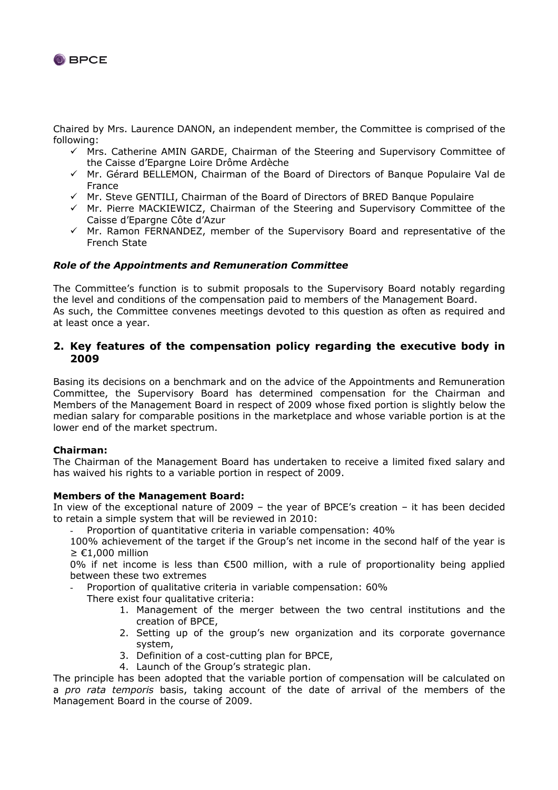

Chaired by Mrs. Laurence DANON, an independent member, the Committee is comprised of the following:

- $\checkmark$  Mrs. Catherine AMIN GARDE, Chairman of the Steering and Supervisory Committee of the Caisse d'Epargne Loire Drôme Ardèche
- $\checkmark$  Mr. Gérard BELLEMON, Chairman of the Board of Directors of Banque Populaire Val de France
- $\checkmark$  Mr. Steve GENTILI, Chairman of the Board of Directors of BRED Banque Populaire
- $\checkmark$  Mr. Pierre MACKIEWICZ, Chairman of the Steering and Supervisory Committee of the Caisse d'Epargne Côte d'Azur
- $\checkmark$  Mr. Ramon FERNANDEZ, member of the Supervisory Board and representative of the French State

## *Role of the Appointments and Remuneration Committee*

The Committee's function is to submit proposals to the Supervisory Board notably regarding the level and conditions of the compensation paid to members of the Management Board. As such, the Committee convenes meetings devoted to this question as often as required and at least once a year.

## **2. Key features of the compensation policy regarding the executive body in 2009**

Basing its decisions on a benchmark and on the advice of the Appointments and Remuneration Committee, the Supervisory Board has determined compensation for the Chairman and Members of the Management Board in respect of 2009 whose fixed portion is slightly below the median salary for comparable positions in the marketplace and whose variable portion is at the lower end of the market spectrum.

## **Chairman:**

The Chairman of the Management Board has undertaken to receive a limited fixed salary and has waived his rights to a variable portion in respect of 2009.

## **Members of the Management Board:**

In view of the exceptional nature of 2009 – the year of BPCE's creation – it has been decided to retain a simple system that will be reviewed in 2010:

Proportion of quantitative criteria in variable compensation: 40%

100% achievement of the target if the Group's net income in the second half of the year is  $≥ €1.000$  million

0% if net income is less than €500 million, with a rule of proportionality being applied between these two extremes

Proportion of qualitative criteria in variable compensation: 60%

There exist four qualitative criteria:

- 1. Management of the merger between the two central institutions and the creation of BPCE,
- 2. Setting up of the group's new organization and its corporate governance system,
- 3. Definition of a cost-cutting plan for BPCE,
- 4. Launch of the Group's strategic plan.

The principle has been adopted that the variable portion of compensation will be calculated on a *pro rata temporis* basis, taking account of the date of arrival of the members of the Management Board in the course of 2009.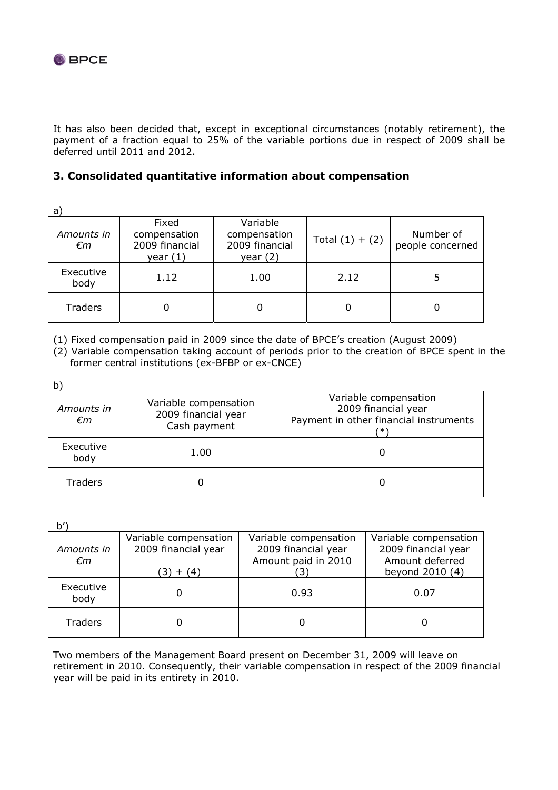

It has also been decided that, except in exceptional circumstances (notably retirement), the payment of a fraction equal to 25% of the variable portions due in respect of 2009 shall be deferred until 2011 and 2012.

# **3. Consolidated quantitative information about compensation**

a)

| u,<br>Amounts in<br>€m | Fixed<br>compensation<br>2009 financial<br>year $(1)$ | Variable<br>compensation<br>2009 financial<br>year $(2)$ | Total $(1) + (2)$ | Number of<br>people concerned |
|------------------------|-------------------------------------------------------|----------------------------------------------------------|-------------------|-------------------------------|
| Executive<br>body      | 1.12                                                  | 1.00                                                     | 2.12              |                               |
| <b>Traders</b>         |                                                       |                                                          |                   | Ü                             |

(1) Fixed compensation paid in 2009 since the date of BPCE's creation (August 2009)

(2) Variable compensation taking account of periods prior to the creation of BPCE spent in the former central institutions (ex-BFBP or ex-CNCE)

| Amounts in<br>€m  | Variable compensation<br>2009 financial year<br>Cash payment | Variable compensation<br>2009 financial year<br>Payment in other financial instruments<br>′∗' |
|-------------------|--------------------------------------------------------------|-----------------------------------------------------------------------------------------------|
| Executive<br>body | 1.00                                                         |                                                                                               |
| <b>Traders</b>    |                                                              |                                                                                               |

 $h'$ 

| Amounts in<br>€m  | Variable compensation<br>2009 financial year<br>(3) + (4) | Variable compensation<br>2009 financial year<br>Amount paid in 2010 | Variable compensation<br>2009 financial year<br>Amount deferred<br>beyond 2010 (4) |
|-------------------|-----------------------------------------------------------|---------------------------------------------------------------------|------------------------------------------------------------------------------------|
| Executive<br>body |                                                           | 0.93                                                                | 0.07                                                                               |
| <b>Traders</b>    |                                                           |                                                                     |                                                                                    |

Two members of the Management Board present on December 31, 2009 will leave on retirement in 2010. Consequently, their variable compensation in respect of the 2009 financial year will be paid in its entirety in 2010.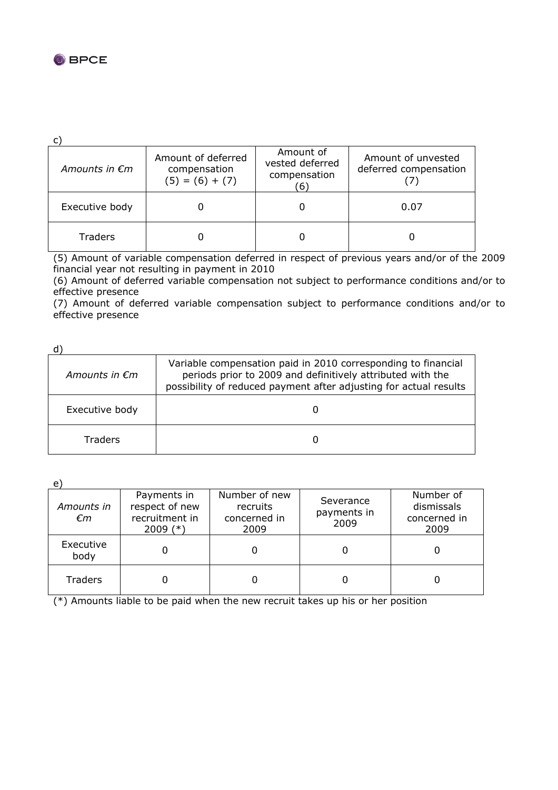

c)

| Amounts in $\epsilon$ m | Amount of deferred<br>compensation<br>$(5) = (6) + (7)$ | Amount of<br>vested deferred<br>compensation<br>$6^{\circ}$ | Amount of unvested<br>deferred compensation |
|-------------------------|---------------------------------------------------------|-------------------------------------------------------------|---------------------------------------------|
| Executive body          |                                                         |                                                             | 0.07                                        |
| <b>Traders</b>          |                                                         |                                                             |                                             |

(5) Amount of variable compensation deferred in respect of previous years and/or of the 2009 financial year not resulting in payment in 2010

(6) Amount of deferred variable compensation not subject to performance conditions and/or to effective presence

(7) Amount of deferred variable compensation subject to performance conditions and/or to effective presence

| ۰        |  |
|----------|--|
| ×<br>. . |  |

| Amounts in $\epsilon$ m | Variable compensation paid in 2010 corresponding to financial<br>periods prior to 2009 and definitively attributed with the<br>possibility of reduced payment after adjusting for actual results |
|-------------------------|--------------------------------------------------------------------------------------------------------------------------------------------------------------------------------------------------|
| Executive body          |                                                                                                                                                                                                  |
| Traders                 |                                                                                                                                                                                                  |

e)

| ر ب<br>Amounts in<br>€m | Payments in<br>respect of new<br>recruitment in<br>2009 $(*)$ | Number of new<br>recruits<br>concerned in<br>2009 | Severance<br>payments in<br>2009 | Number of<br>dismissals<br>concerned in<br>2009 |
|-------------------------|---------------------------------------------------------------|---------------------------------------------------|----------------------------------|-------------------------------------------------|
| Executive<br>body       |                                                               |                                                   |                                  |                                                 |
| Traders                 |                                                               |                                                   |                                  |                                                 |

(\*) Amounts liable to be paid when the new recruit takes up his or her position